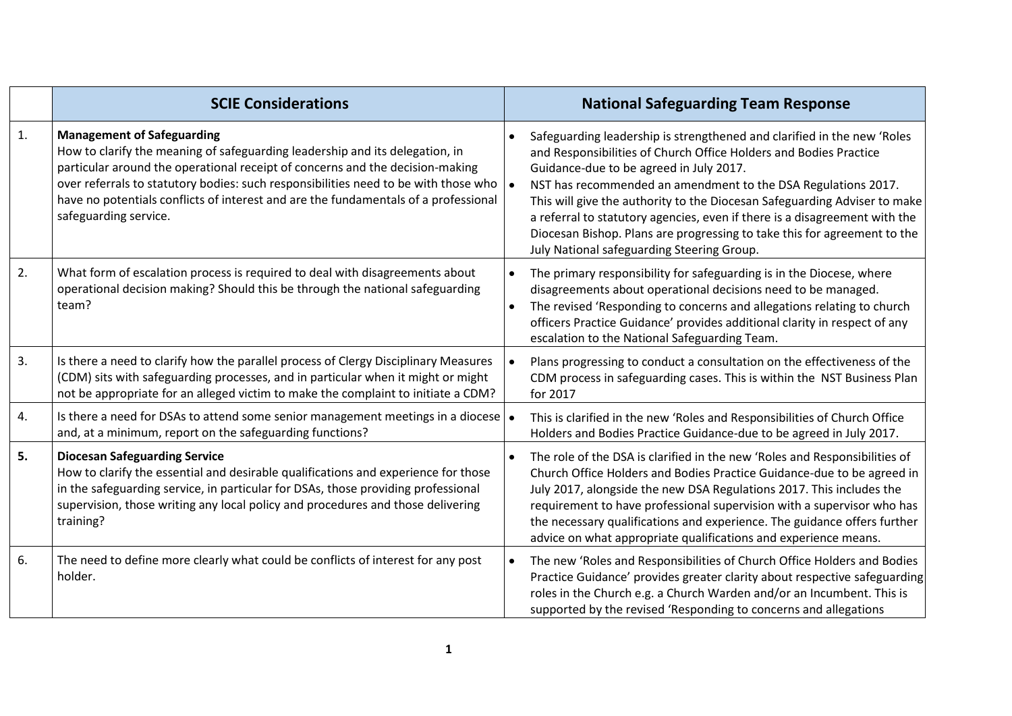|    | <b>SCIE Considerations</b>                                                                                                                                                                                                                                                                                                                                                                                | <b>National Safeguarding Team Response</b>                                                                                                                                                                                                                                                                                                                                                                                                                                                                                                    |
|----|-----------------------------------------------------------------------------------------------------------------------------------------------------------------------------------------------------------------------------------------------------------------------------------------------------------------------------------------------------------------------------------------------------------|-----------------------------------------------------------------------------------------------------------------------------------------------------------------------------------------------------------------------------------------------------------------------------------------------------------------------------------------------------------------------------------------------------------------------------------------------------------------------------------------------------------------------------------------------|
| 1. | <b>Management of Safeguarding</b><br>How to clarify the meaning of safeguarding leadership and its delegation, in<br>particular around the operational receipt of concerns and the decision-making<br>over referrals to statutory bodies: such responsibilities need to be with those who<br>have no potentials conflicts of interest and are the fundamentals of a professional<br>safeguarding service. | Safeguarding leadership is strengthened and clarified in the new 'Roles<br>and Responsibilities of Church Office Holders and Bodies Practice<br>Guidance-due to be agreed in July 2017.<br>NST has recommended an amendment to the DSA Regulations 2017.<br>This will give the authority to the Diocesan Safeguarding Adviser to make<br>a referral to statutory agencies, even if there is a disagreement with the<br>Diocesan Bishop. Plans are progressing to take this for agreement to the<br>July National safeguarding Steering Group. |
| 2. | What form of escalation process is required to deal with disagreements about<br>operational decision making? Should this be through the national safeguarding<br>team?                                                                                                                                                                                                                                    | The primary responsibility for safeguarding is in the Diocese, where<br>disagreements about operational decisions need to be managed.<br>The revised 'Responding to concerns and allegations relating to church<br>officers Practice Guidance' provides additional clarity in respect of any<br>escalation to the National Safeguarding Team.                                                                                                                                                                                                 |
| 3. | Is there a need to clarify how the parallel process of Clergy Disciplinary Measures<br>(CDM) sits with safeguarding processes, and in particular when it might or might<br>not be appropriate for an alleged victim to make the complaint to initiate a CDM?                                                                                                                                              | Plans progressing to conduct a consultation on the effectiveness of the<br>CDM process in safeguarding cases. This is within the NST Business Plan<br>for 2017                                                                                                                                                                                                                                                                                                                                                                                |
| 4. | Is there a need for DSAs to attend some senior management meetings in a diocese $\bullet$<br>and, at a minimum, report on the safeguarding functions?                                                                                                                                                                                                                                                     | This is clarified in the new 'Roles and Responsibilities of Church Office<br>Holders and Bodies Practice Guidance-due to be agreed in July 2017.                                                                                                                                                                                                                                                                                                                                                                                              |
| 5. | <b>Diocesan Safeguarding Service</b><br>How to clarify the essential and desirable qualifications and experience for those<br>in the safeguarding service, in particular for DSAs, those providing professional<br>supervision, those writing any local policy and procedures and those delivering<br>training?                                                                                           | The role of the DSA is clarified in the new 'Roles and Responsibilities of<br>Church Office Holders and Bodies Practice Guidance-due to be agreed in<br>July 2017, alongside the new DSA Regulations 2017. This includes the<br>requirement to have professional supervision with a supervisor who has<br>the necessary qualifications and experience. The guidance offers further<br>advice on what appropriate qualifications and experience means.                                                                                         |
| 6. | The need to define more clearly what could be conflicts of interest for any post<br>holder.                                                                                                                                                                                                                                                                                                               | The new 'Roles and Responsibilities of Church Office Holders and Bodies<br>Practice Guidance' provides greater clarity about respective safeguarding<br>roles in the Church e.g. a Church Warden and/or an Incumbent. This is<br>supported by the revised 'Responding to concerns and allegations                                                                                                                                                                                                                                             |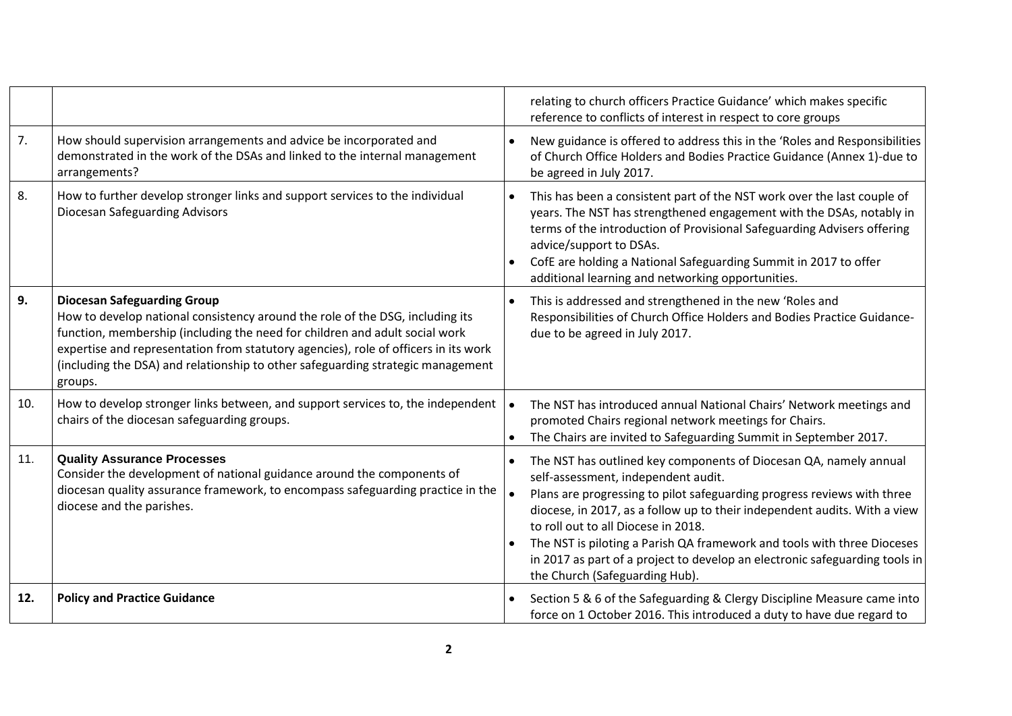|     |                                                                                                                                                                                                                                                                                                                                                                                         | relating to church officers Practice Guidance' which makes specific<br>reference to conflicts of interest in respect to core groups                                                                                                                                                                                                                                                                                                                                                                 |
|-----|-----------------------------------------------------------------------------------------------------------------------------------------------------------------------------------------------------------------------------------------------------------------------------------------------------------------------------------------------------------------------------------------|-----------------------------------------------------------------------------------------------------------------------------------------------------------------------------------------------------------------------------------------------------------------------------------------------------------------------------------------------------------------------------------------------------------------------------------------------------------------------------------------------------|
| 7.  | How should supervision arrangements and advice be incorporated and<br>demonstrated in the work of the DSAs and linked to the internal management<br>arrangements?                                                                                                                                                                                                                       | New guidance is offered to address this in the 'Roles and Responsibilities<br>of Church Office Holders and Bodies Practice Guidance (Annex 1)-due to<br>be agreed in July 2017.                                                                                                                                                                                                                                                                                                                     |
| 8.  | How to further develop stronger links and support services to the individual<br><b>Diocesan Safeguarding Advisors</b>                                                                                                                                                                                                                                                                   | This has been a consistent part of the NST work over the last couple of<br>years. The NST has strengthened engagement with the DSAs, notably in<br>terms of the introduction of Provisional Safeguarding Advisers offering<br>advice/support to DSAs.<br>CofE are holding a National Safeguarding Summit in 2017 to offer<br>additional learning and networking opportunities.                                                                                                                      |
| 9.  | <b>Diocesan Safeguarding Group</b><br>How to develop national consistency around the role of the DSG, including its<br>function, membership (including the need for children and adult social work<br>expertise and representation from statutory agencies), role of officers in its work<br>(including the DSA) and relationship to other safeguarding strategic management<br>groups. | This is addressed and strengthened in the new 'Roles and<br>Responsibilities of Church Office Holders and Bodies Practice Guidance-<br>due to be agreed in July 2017.                                                                                                                                                                                                                                                                                                                               |
| 10. | How to develop stronger links between, and support services to, the independent<br>chairs of the diocesan safeguarding groups.                                                                                                                                                                                                                                                          | The NST has introduced annual National Chairs' Network meetings and<br>promoted Chairs regional network meetings for Chairs.<br>The Chairs are invited to Safeguarding Summit in September 2017.                                                                                                                                                                                                                                                                                                    |
| 11. | <b>Quality Assurance Processes</b><br>Consider the development of national guidance around the components of<br>diocesan quality assurance framework, to encompass safeguarding practice in the<br>diocese and the parishes.                                                                                                                                                            | The NST has outlined key components of Diocesan QA, namely annual<br>self-assessment, independent audit.<br>Plans are progressing to pilot safeguarding progress reviews with three<br>diocese, in 2017, as a follow up to their independent audits. With a view<br>to roll out to all Diocese in 2018.<br>The NST is piloting a Parish QA framework and tools with three Dioceses<br>in 2017 as part of a project to develop an electronic safeguarding tools in<br>the Church (Safeguarding Hub). |
| 12. | <b>Policy and Practice Guidance</b>                                                                                                                                                                                                                                                                                                                                                     | Section 5 & 6 of the Safeguarding & Clergy Discipline Measure came into<br>force on 1 October 2016. This introduced a duty to have due regard to                                                                                                                                                                                                                                                                                                                                                    |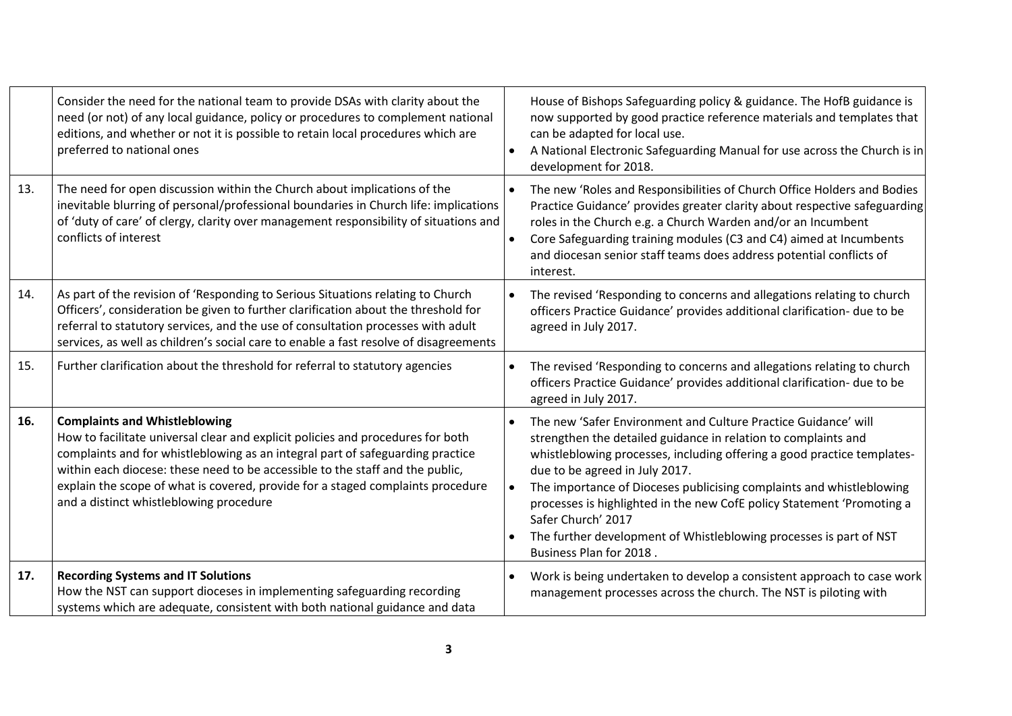|     | Consider the need for the national team to provide DSAs with clarity about the<br>need (or not) of any local guidance, policy or procedures to complement national<br>editions, and whether or not it is possible to retain local procedures which are<br>preferred to national ones                                                                                                                                     | House of Bishops Safeguarding policy & guidance. The HofB guidance is<br>now supported by good practice reference materials and templates that<br>can be adapted for local use.<br>A National Electronic Safeguarding Manual for use across the Church is in<br>development for 2018.                                                                                                                                                                                                                                  |
|-----|--------------------------------------------------------------------------------------------------------------------------------------------------------------------------------------------------------------------------------------------------------------------------------------------------------------------------------------------------------------------------------------------------------------------------|------------------------------------------------------------------------------------------------------------------------------------------------------------------------------------------------------------------------------------------------------------------------------------------------------------------------------------------------------------------------------------------------------------------------------------------------------------------------------------------------------------------------|
| 13. | The need for open discussion within the Church about implications of the<br>inevitable blurring of personal/professional boundaries in Church life: implications<br>of 'duty of care' of clergy, clarity over management responsibility of situations and<br>conflicts of interest                                                                                                                                       | The new 'Roles and Responsibilities of Church Office Holders and Bodies<br>Practice Guidance' provides greater clarity about respective safeguarding<br>roles in the Church e.g. a Church Warden and/or an Incumbent<br>Core Safeguarding training modules (C3 and C4) aimed at Incumbents<br>and diocesan senior staff teams does address potential conflicts of<br>interest.                                                                                                                                         |
| 14. | As part of the revision of 'Responding to Serious Situations relating to Church<br>Officers', consideration be given to further clarification about the threshold for<br>referral to statutory services, and the use of consultation processes with adult<br>services, as well as children's social care to enable a fast resolve of disagreements                                                                       | The revised 'Responding to concerns and allegations relating to church<br>officers Practice Guidance' provides additional clarification- due to be<br>agreed in July 2017.                                                                                                                                                                                                                                                                                                                                             |
| 15. | Further clarification about the threshold for referral to statutory agencies                                                                                                                                                                                                                                                                                                                                             | The revised 'Responding to concerns and allegations relating to church<br>officers Practice Guidance' provides additional clarification- due to be<br>agreed in July 2017.                                                                                                                                                                                                                                                                                                                                             |
| 16. | <b>Complaints and Whistleblowing</b><br>How to facilitate universal clear and explicit policies and procedures for both<br>complaints and for whistleblowing as an integral part of safeguarding practice<br>within each diocese: these need to be accessible to the staff and the public,<br>explain the scope of what is covered, provide for a staged complaints procedure<br>and a distinct whistleblowing procedure | The new 'Safer Environment and Culture Practice Guidance' will<br>strengthen the detailed guidance in relation to complaints and<br>whistleblowing processes, including offering a good practice templates-<br>due to be agreed in July 2017.<br>The importance of Dioceses publicising complaints and whistleblowing<br>processes is highlighted in the new CofE policy Statement 'Promoting a<br>Safer Church' 2017<br>The further development of Whistleblowing processes is part of NST<br>Business Plan for 2018. |
| 17. | <b>Recording Systems and IT Solutions</b><br>How the NST can support dioceses in implementing safeguarding recording<br>systems which are adequate, consistent with both national guidance and data                                                                                                                                                                                                                      | Work is being undertaken to develop a consistent approach to case work<br>management processes across the church. The NST is piloting with                                                                                                                                                                                                                                                                                                                                                                             |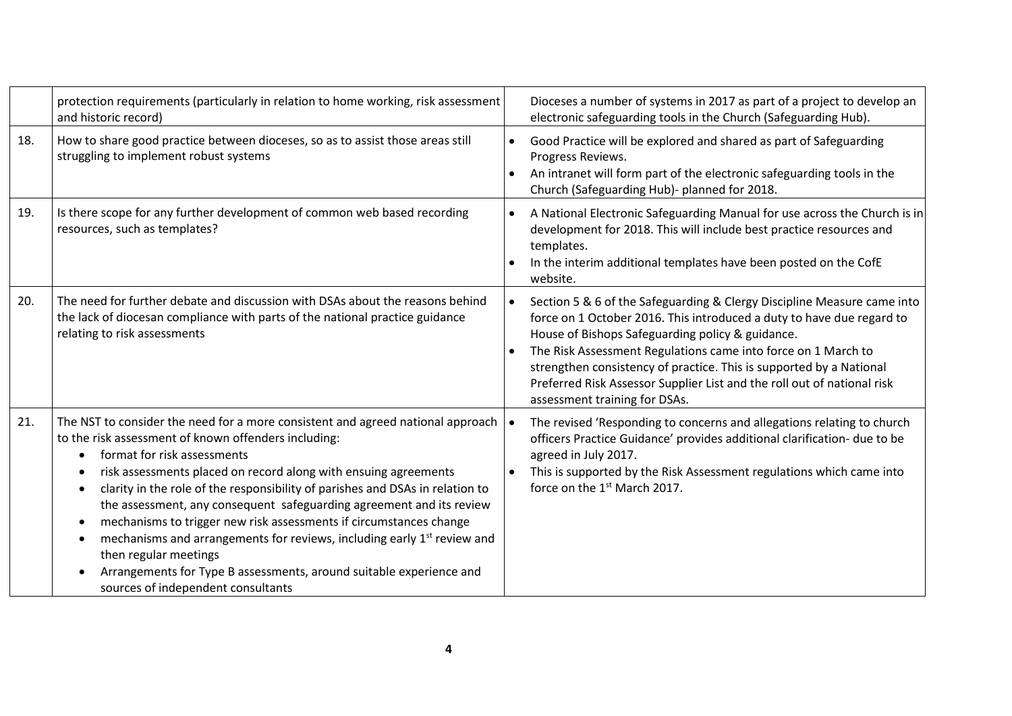|     | protection requirements (particularly in relation to home working, risk assessment<br>and historic record)                                                                                                                                                                                                                                                                                                                                                                                                                                                                                                                                                                                                 | Dioceses a number of systems in 2017 as part of a project to develop an<br>electronic safeguarding tools in the Church (Safeguarding Hub).                                                                                                                                                                                                                                                                                                               |
|-----|------------------------------------------------------------------------------------------------------------------------------------------------------------------------------------------------------------------------------------------------------------------------------------------------------------------------------------------------------------------------------------------------------------------------------------------------------------------------------------------------------------------------------------------------------------------------------------------------------------------------------------------------------------------------------------------------------------|----------------------------------------------------------------------------------------------------------------------------------------------------------------------------------------------------------------------------------------------------------------------------------------------------------------------------------------------------------------------------------------------------------------------------------------------------------|
| 18. | How to share good practice between dioceses, so as to assist those areas still<br>struggling to implement robust systems                                                                                                                                                                                                                                                                                                                                                                                                                                                                                                                                                                                   | Good Practice will be explored and shared as part of Safeguarding<br>Progress Reviews.<br>An intranet will form part of the electronic safeguarding tools in the<br>Church (Safeguarding Hub)- planned for 2018.                                                                                                                                                                                                                                         |
| 19. | Is there scope for any further development of common web based recording<br>resources, such as templates?                                                                                                                                                                                                                                                                                                                                                                                                                                                                                                                                                                                                  | A National Electronic Safeguarding Manual for use across the Church is in<br>development for 2018. This will include best practice resources and<br>templates.<br>In the interim additional templates have been posted on the CofE<br>website.                                                                                                                                                                                                           |
| 20. | The need for further debate and discussion with DSAs about the reasons behind<br>the lack of diocesan compliance with parts of the national practice guidance<br>relating to risk assessments                                                                                                                                                                                                                                                                                                                                                                                                                                                                                                              | Section 5 & 6 of the Safeguarding & Clergy Discipline Measure came into<br>force on 1 October 2016. This introduced a duty to have due regard to<br>House of Bishops Safeguarding policy & guidance.<br>The Risk Assessment Regulations came into force on 1 March to<br>strengthen consistency of practice. This is supported by a National<br>Preferred Risk Assessor Supplier List and the roll out of national risk<br>assessment training for DSAs. |
| 21. | The NST to consider the need for a more consistent and agreed national approach<br>to the risk assessment of known offenders including:<br>format for risk assessments<br>risk assessments placed on record along with ensuing agreements<br>clarity in the role of the responsibility of parishes and DSAs in relation to<br>the assessment, any consequent safeguarding agreement and its review<br>mechanisms to trigger new risk assessments if circumstances change<br>٠<br>mechanisms and arrangements for reviews, including early 1 <sup>st</sup> review and<br>then regular meetings<br>Arrangements for Type B assessments, around suitable experience and<br>sources of independent consultants | The revised 'Responding to concerns and allegations relating to church<br>officers Practice Guidance' provides additional clarification- due to be<br>agreed in July 2017.<br>This is supported by the Risk Assessment regulations which came into<br>force on the 1 <sup>st</sup> March 2017.                                                                                                                                                           |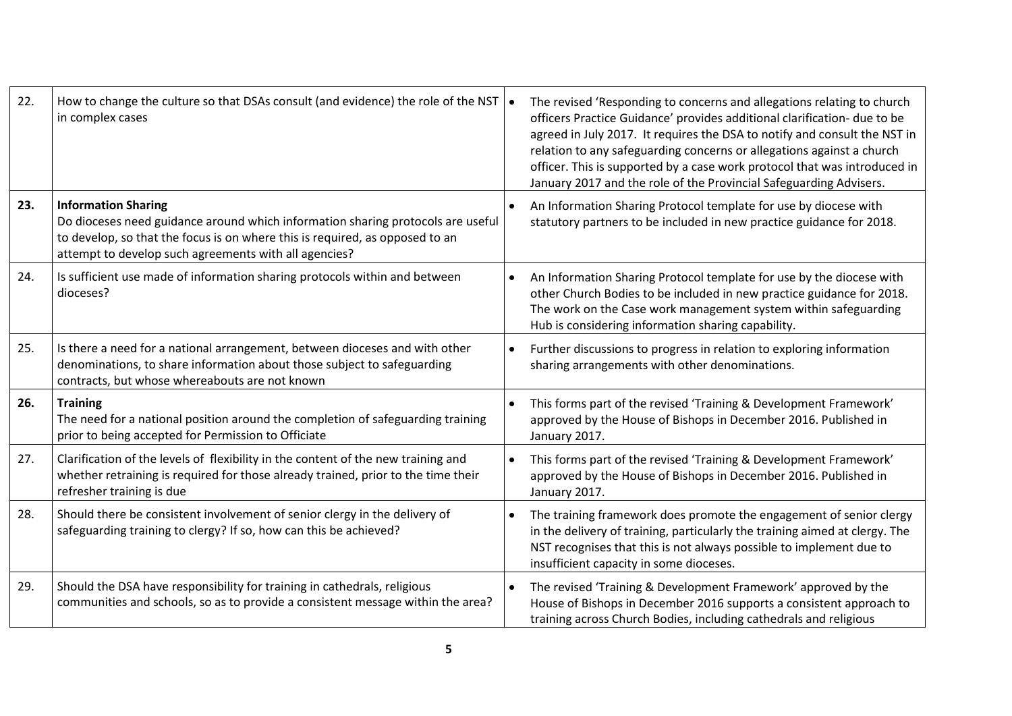| 22. | How to change the culture so that DSAs consult (and evidence) the role of the NST $\cdot$<br>in complex cases                                                                                                                                          | The revised 'Responding to concerns and allegations relating to church<br>officers Practice Guidance' provides additional clarification- due to be<br>agreed in July 2017. It requires the DSA to notify and consult the NST in<br>relation to any safeguarding concerns or allegations against a church<br>officer. This is supported by a case work protocol that was introduced in<br>January 2017 and the role of the Provincial Safeguarding Advisers. |
|-----|--------------------------------------------------------------------------------------------------------------------------------------------------------------------------------------------------------------------------------------------------------|-------------------------------------------------------------------------------------------------------------------------------------------------------------------------------------------------------------------------------------------------------------------------------------------------------------------------------------------------------------------------------------------------------------------------------------------------------------|
| 23. | <b>Information Sharing</b><br>Do dioceses need guidance around which information sharing protocols are useful<br>to develop, so that the focus is on where this is required, as opposed to an<br>attempt to develop such agreements with all agencies? | An Information Sharing Protocol template for use by diocese with<br>statutory partners to be included in new practice guidance for 2018.                                                                                                                                                                                                                                                                                                                    |
| 24. | Is sufficient use made of information sharing protocols within and between<br>dioceses?                                                                                                                                                                | An Information Sharing Protocol template for use by the diocese with<br>other Church Bodies to be included in new practice guidance for 2018.<br>The work on the Case work management system within safeguarding<br>Hub is considering information sharing capability.                                                                                                                                                                                      |
| 25. | Is there a need for a national arrangement, between dioceses and with other<br>denominations, to share information about those subject to safeguarding<br>contracts, but whose whereabouts are not known                                               | Further discussions to progress in relation to exploring information<br>sharing arrangements with other denominations.                                                                                                                                                                                                                                                                                                                                      |
| 26. | <b>Training</b><br>The need for a national position around the completion of safeguarding training<br>prior to being accepted for Permission to Officiate                                                                                              | This forms part of the revised 'Training & Development Framework'<br>approved by the House of Bishops in December 2016. Published in<br>January 2017.                                                                                                                                                                                                                                                                                                       |
| 27. | Clarification of the levels of flexibility in the content of the new training and<br>whether retraining is required for those already trained, prior to the time their<br>refresher training is due                                                    | This forms part of the revised 'Training & Development Framework'<br>approved by the House of Bishops in December 2016. Published in<br>January 2017.                                                                                                                                                                                                                                                                                                       |
| 28. | Should there be consistent involvement of senior clergy in the delivery of<br>safeguarding training to clergy? If so, how can this be achieved?                                                                                                        | The training framework does promote the engagement of senior clergy<br>in the delivery of training, particularly the training aimed at clergy. The<br>NST recognises that this is not always possible to implement due to<br>insufficient capacity in some dioceses.                                                                                                                                                                                        |
| 29. | Should the DSA have responsibility for training in cathedrals, religious<br>communities and schools, so as to provide a consistent message within the area?                                                                                            | The revised 'Training & Development Framework' approved by the<br>House of Bishops in December 2016 supports a consistent approach to<br>training across Church Bodies, including cathedrals and religious                                                                                                                                                                                                                                                  |